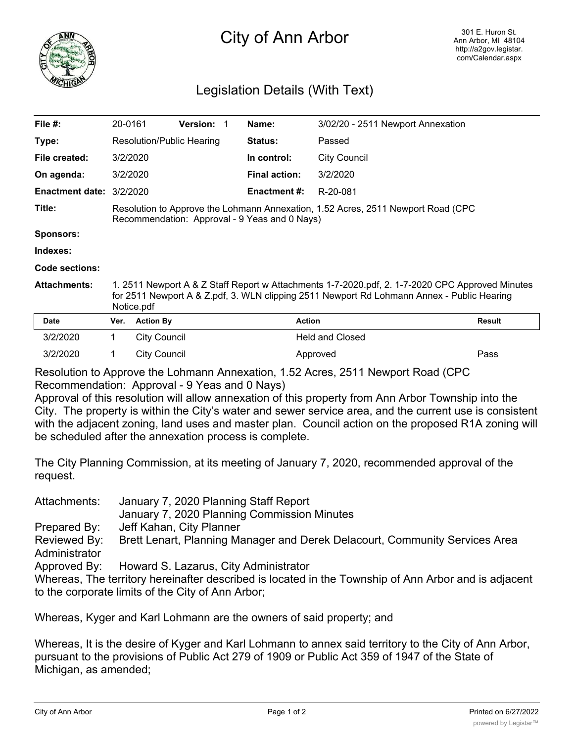



## Legislation Details (With Text)

| File $#$ :               | 20-0161                                                                                                                                                                                                     |                     | <b>Version: 1</b> |  | Name:                | 3/02/20 - 2511 Newport Annexation |        |
|--------------------------|-------------------------------------------------------------------------------------------------------------------------------------------------------------------------------------------------------------|---------------------|-------------------|--|----------------------|-----------------------------------|--------|
| Type:                    | Resolution/Public Hearing                                                                                                                                                                                   |                     |                   |  | <b>Status:</b>       | Passed                            |        |
| File created:            | 3/2/2020                                                                                                                                                                                                    |                     |                   |  | In control:          | <b>City Council</b>               |        |
| On agenda:               |                                                                                                                                                                                                             | 3/2/2020            |                   |  | <b>Final action:</b> | 3/2/2020                          |        |
| Enactment date: 3/2/2020 |                                                                                                                                                                                                             |                     |                   |  | <b>Enactment #:</b>  | R-20-081                          |        |
| Title:                   | Resolution to Approve the Lohmann Annexation, 1.52 Acres, 2511 Newport Road (CPC<br>Recommendation: Approval - 9 Yeas and 0 Nays)                                                                           |                     |                   |  |                      |                                   |        |
| <b>Sponsors:</b>         |                                                                                                                                                                                                             |                     |                   |  |                      |                                   |        |
| Indexes:                 |                                                                                                                                                                                                             |                     |                   |  |                      |                                   |        |
| Code sections:           |                                                                                                                                                                                                             |                     |                   |  |                      |                                   |        |
| <b>Attachments:</b>      | 1. 2511 Newport A & Z Staff Report w Attachments 1-7-2020.pdf, 2. 1-7-2020 CPC Approved Minutes<br>for 2511 Newport A & Z.pdf, 3. WLN clipping 2511 Newport Rd Lohmann Annex - Public Hearing<br>Notice.pdf |                     |                   |  |                      |                                   |        |
| <b>Date</b>              | Ver.                                                                                                                                                                                                        | <b>Action By</b>    |                   |  | <b>Action</b>        |                                   | Result |
| 3/2/2020                 | 1                                                                                                                                                                                                           | <b>City Council</b> |                   |  |                      | <b>Held and Closed</b>            |        |
| 3/2/2020                 | 1                                                                                                                                                                                                           | City Council        |                   |  |                      | Approved                          | Pass   |

Resolution to Approve the Lohmann Annexation, 1.52 Acres, 2511 Newport Road (CPC Recommendation: Approval - 9 Yeas and 0 Nays)

Approval of this resolution will allow annexation of this property from Ann Arbor Township into the City. The property is within the City's water and sewer service area, and the current use is consistent with the adjacent zoning, land uses and master plan. Council action on the proposed R1A zoning will be scheduled after the annexation process is complete.

The City Planning Commission, at its meeting of January 7, 2020, recommended approval of the request.

Attachments: January 7, 2020 Planning Staff Report

January 7, 2020 Planning Commission Minutes

Prepared By: Jeff Kahan, City Planner

Reviewed By: Brett Lenart, Planning Manager and Derek Delacourt, Community Services Area **Administrator** 

Approved By: Howard S. Lazarus, City Administrator

Whereas, The territory hereinafter described is located in the Township of Ann Arbor and is adjacent to the corporate limits of the City of Ann Arbor;

Whereas, Kyger and Karl Lohmann are the owners of said property; and

Whereas, It is the desire of Kyger and Karl Lohmann to annex said territory to the City of Ann Arbor, pursuant to the provisions of Public Act 279 of 1909 or Public Act 359 of 1947 of the State of Michigan, as amended;